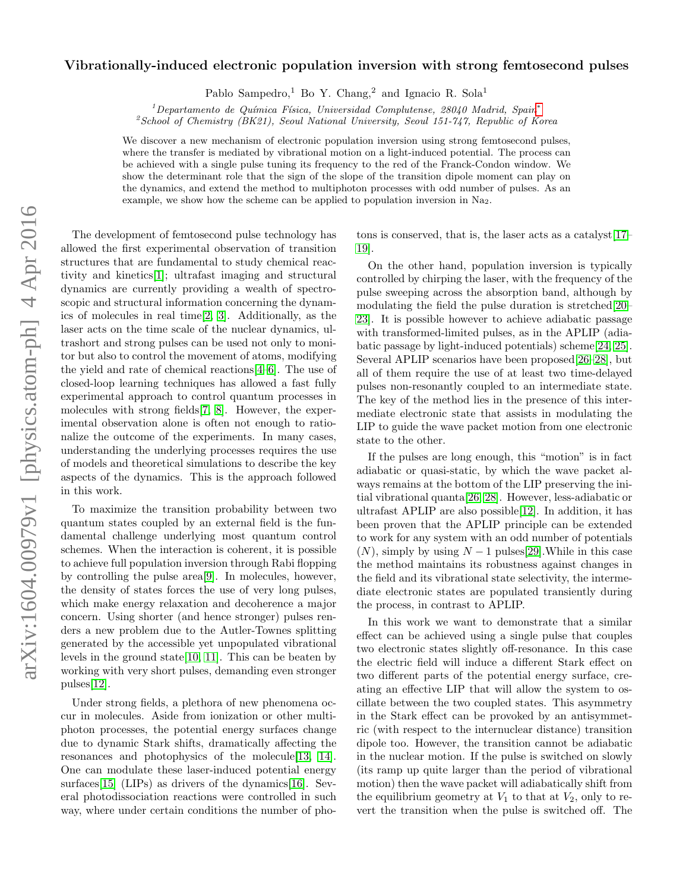## arXiv:1604.00979v1 [physics.atom-ph] 4 Apr 2016 arXiv:1604.00979v1 [physics.atom-ph] 4 Apr 2016

## Vibrationally-induced electronic population inversion with strong femtosecond pulses

Pablo Sampedro,<sup>1</sup> Bo Y. Chang,<sup>2</sup> and Ignacio R. Sola<sup>1</sup>

 $1$ Departamento de Química Física, Universidad Complutense, 28040 Madrid, Spain<sup>\*</sup>

<sup>2</sup>School of Chemistry (BK21), Seoul National University, Seoul 151-747, Republic of Korea

We discover a new mechanism of electronic population inversion using strong femtosecond pulses, where the transfer is mediated by vibrational motion on a light-induced potential. The process can be achieved with a single pulse tuning its frequency to the red of the Franck-Condon window. We show the determinant role that the sign of the slope of the transition dipole moment can play on the dynamics, and extend the method to multiphoton processes with odd number of pulses. As an example, we show how the scheme can be applied to population inversion in Na2.

The development of femtosecond pulse technology has allowed the first experimental observation of transition structures that are fundamental to study chemical reactivity and kinetics[\[1\]](#page-3-1); ultrafast imaging and structural dynamics are currently providing a wealth of spectroscopic and structural information concerning the dynamics of molecules in real time[\[2,](#page-3-2) [3\]](#page-3-3). Additionally, as the laser acts on the time scale of the nuclear dynamics, ultrashort and strong pulses can be used not only to monitor but also to control the movement of atoms, modifying the yield and rate of chemical reactions[\[4–](#page-3-4)[6\]](#page-3-5). The use of closed-loop learning techniques has allowed a fast fully experimental approach to control quantum processes in molecules with strong fields[\[7,](#page-3-6) [8\]](#page-3-7). However, the experimental observation alone is often not enough to rationalize the outcome of the experiments. In many cases, understanding the underlying processes requires the use of models and theoretical simulations to describe the key aspects of the dynamics. This is the approach followed in this work.

To maximize the transition probability between two quantum states coupled by an external field is the fundamental challenge underlying most quantum control schemes. When the interaction is coherent, it is possible to achieve full population inversion through Rabi flopping by controlling the pulse area[\[9\]](#page-3-8). In molecules, however, the density of states forces the use of very long pulses, which make energy relaxation and decoherence a major concern. Using shorter (and hence stronger) pulses renders a new problem due to the Autler-Townes splitting generated by the accessible yet unpopulated vibrational levels in the ground state[\[10,](#page-3-9) [11\]](#page-4-0). This can be beaten by working with very short pulses, demanding even stronger pulses[\[12\]](#page-4-1).

Under strong fields, a plethora of new phenomena occur in molecules. Aside from ionization or other multiphoton processes, the potential energy surfaces change due to dynamic Stark shifts, dramatically affecting the resonances and photophysics of the molecule[\[13,](#page-4-2) [14\]](#page-4-3). One can modulate these laser-induced potential energy surfaces<sup>[\[15\]](#page-4-4)</sup> (LIPs) as drivers of the dynamics<sup>[\[16\]](#page-4-5)</sup>. Several photodissociation reactions were controlled in such way, where under certain conditions the number of photons is conserved, that is, the laser acts as a catalyst[\[17–](#page-4-6) [19\]](#page-4-7).

On the other hand, population inversion is typically controlled by chirping the laser, with the frequency of the pulse sweeping across the absorption band, although by modulating the field the pulse duration is stretched[\[20–](#page-4-8) [23\]](#page-4-9). It is possible however to achieve adiabatic passage with transformed-limited pulses, as in the APLIP (adiabatic passage by light-induced potentials) scheme[\[24,](#page-4-10) [25\]](#page-4-11). Several APLIP scenarios have been proposed[\[26–](#page-4-12)[28\]](#page-4-13), but all of them require the use of at least two time-delayed pulses non-resonantly coupled to an intermediate state. The key of the method lies in the presence of this intermediate electronic state that assists in modulating the LIP to guide the wave packet motion from one electronic state to the other.

If the pulses are long enough, this "motion" is in fact adiabatic or quasi-static, by which the wave packet always remains at the bottom of the LIP preserving the initial vibrational quanta[\[26,](#page-4-12) [28\]](#page-4-13). However, less-adiabatic or ultrafast APLIP are also possible[\[12\]](#page-4-1). In addition, it has been proven that the APLIP principle can be extended to work for any system with an odd number of potentials  $(N)$ , simply by using  $N-1$  pulses[\[29\]](#page-4-14). While in this case the method maintains its robustness against changes in the field and its vibrational state selectivity, the intermediate electronic states are populated transiently during the process, in contrast to APLIP.

In this work we want to demonstrate that a similar effect can be achieved using a single pulse that couples two electronic states slightly off-resonance. In this case the electric field will induce a different Stark effect on two different parts of the potential energy surface, creating an effective LIP that will allow the system to oscillate between the two coupled states. This asymmetry in the Stark effect can be provoked by an antisymmetric (with respect to the internuclear distance) transition dipole too. However, the transition cannot be adiabatic in the nuclear motion. If the pulse is switched on slowly (its ramp up quite larger than the period of vibrational motion) then the wave packet will adiabatically shift from the equilibrium geometry at  $V_1$  to that at  $V_2$ , only to revert the transition when the pulse is switched off. The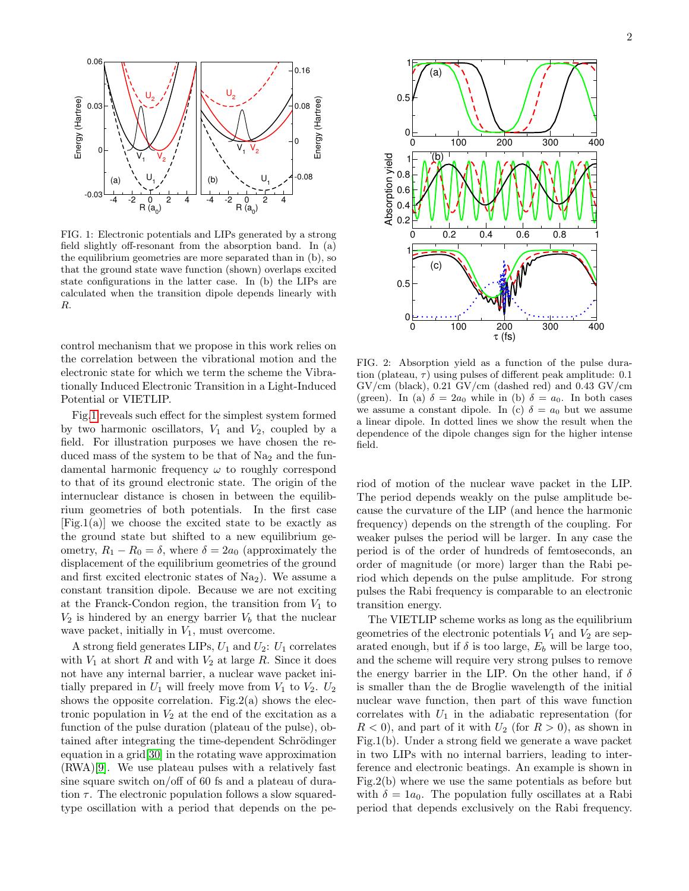

<span id="page-1-0"></span>FIG. 1: Electronic potentials and LIPs generated by a strong field slightly off-resonant from the absorption band. In (a) the equilibrium geometries are more separated than in (b), so that the ground state wave function (shown) overlaps excited state configurations in the latter case. In (b) the LIPs are calculated when the transition dipole depends linearly with R.

control mechanism that we propose in this work relies on the correlation between the vibrational motion and the electronic state for which we term the scheme the Vibrationally Induced Electronic Transition in a Light-Induced Potential or VIETLIP.

Fig[.1](#page-1-0) reveals such effect for the simplest system formed by two harmonic oscillators,  $V_1$  and  $V_2$ , coupled by a field. For illustration purposes we have chosen the reduced mass of the system to be that of  $Na<sub>2</sub>$  and the fundamental harmonic frequency  $\omega$  to roughly correspond to that of its ground electronic state. The origin of the internuclear distance is chosen in between the equilibrium geometries of both potentials. In the first case  $[Fig.1(a)]$  we choose the excited state to be exactly as the ground state but shifted to a new equilibrium geometry,  $R_1 - R_0 = \delta$ , where  $\delta = 2a_0$  (approximately the displacement of the equilibrium geometries of the ground and first excited electronic states of  $Na<sub>2</sub>$ ). We assume a constant transition dipole. Because we are not exciting at the Franck-Condon region, the transition from  $V_1$  to  $V_2$  is hindered by an energy barrier  $V_b$  that the nuclear wave packet, initially in  $V_1$ , must overcome.

A strong field generates LIPs,  $U_1$  and  $U_2$ :  $U_1$  correlates with  $V_1$  at short R and with  $V_2$  at large R. Since it does not have any internal barrier, a nuclear wave packet initially prepared in  $U_1$  will freely move from  $V_1$  to  $V_2$ .  $U_2$ shows the opposite correlation. Fig.2(a) shows the electronic population in  $V_2$  at the end of the excitation as a function of the pulse duration (plateau of the pulse), obtained after integrating the time-dependent Schrödinger equation in a grid[\[30\]](#page-4-15) in the rotating wave approximation (RWA)[\[9\]](#page-3-8). We use plateau pulses with a relatively fast sine square switch on/off of 60 fs and a plateau of duration  $\tau$ . The electronic population follows a slow squaredtype oscillation with a period that depends on the pe-



FIG. 2: Absorption yield as a function of the pulse duration (plateau,  $\tau$ ) using pulses of different peak amplitude: 0.1  $GV/cm$  (black), 0.21  $GV/cm$  (dashed red) and 0.43  $GV/cm$ (green). In (a)  $\delta = 2a_0$  while in (b)  $\delta = a_0$ . In both cases we assume a constant dipole. In (c)  $\delta = a_0$  but we assume a linear dipole. In dotted lines we show the result when the dependence of the dipole changes sign for the higher intense field.

riod of motion of the nuclear wave packet in the LIP. The period depends weakly on the pulse amplitude because the curvature of the LIP (and hence the harmonic frequency) depends on the strength of the coupling. For weaker pulses the period will be larger. In any case the period is of the order of hundreds of femtoseconds, an order of magnitude (or more) larger than the Rabi period which depends on the pulse amplitude. For strong pulses the Rabi frequency is comparable to an electronic transition energy.

The VIETLIP scheme works as long as the equilibrium geometries of the electronic potentials  $V_1$  and  $V_2$  are separated enough, but if  $\delta$  is too large,  $E_b$  will be large too, and the scheme will require very strong pulses to remove the energy barrier in the LIP. On the other hand, if  $\delta$ is smaller than the de Broglie wavelength of the initial nuclear wave function, then part of this wave function correlates with  $U_1$  in the adiabatic representation (for  $R < 0$ , and part of it with  $U_2$  (for  $R > 0$ ), as shown in Fig.1(b). Under a strong field we generate a wave packet in two LIPs with no internal barriers, leading to interference and electronic beatings. An example is shown in Fig.2(b) where we use the same potentials as before but with  $\delta = 1a_0$ . The population fully oscillates at a Rabi period that depends exclusively on the Rabi frequency.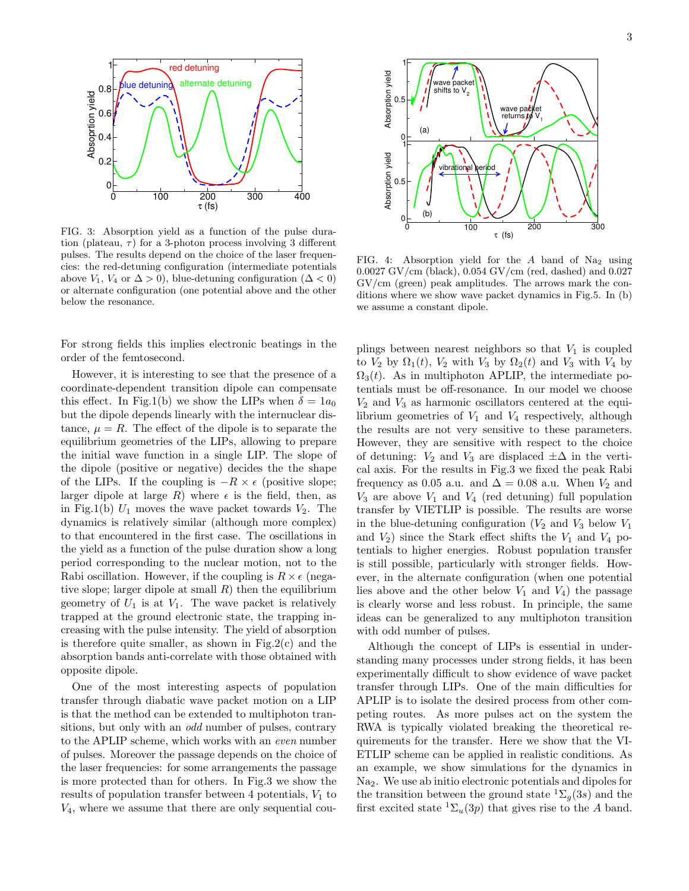

FIG. 3: Absorption yield as a function of the pulse duration (plateau,  $\tau$ ) for a 3-photon process involving 3 different pulses. The results depend on the choice of the laser frequencies: the red-detuning configuration (intermediate potentials above  $V_1$ ,  $V_4$  or  $\Delta > 0$ ), blue-detuning configuration ( $\Delta < 0$ ) or alternate configuration (one potential above and the other below the resonance.

For strong fields this implies electronic beatings in the order of the femtosecond.

However, it is interesting to see that the presence of a coordinate-dependent transition dipole can compensate this effect. In Fig.1(b) we show the LIPs when  $\delta = 1a_0$ but the dipole depends linearly with the internuclear distance,  $\mu = R$ . The effect of the dipole is to separate the equilibrium geometries of the LIPs, allowing to prepare the initial wave function in a single LIP. The slope of the dipole (positive or negative) decides the the shape of the LIPs. If the coupling is  $-R \times \epsilon$  (positive slope; larger dipole at large R) where  $\epsilon$  is the field, then, as in Fig.1(b)  $U_1$  moves the wave packet towards  $V_2$ . The dynamics is relatively similar (although more complex) to that encountered in the first case. The oscillations in the yield as a function of the pulse duration show a long period corresponding to the nuclear motion, not to the Rabi oscillation. However, if the coupling is  $R \times \epsilon$  (negative slope; larger dipole at small  $R$ ) then the equilibrium geometry of  $U_1$  is at  $V_1$ . The wave packet is relatively trapped at the ground electronic state, the trapping increasing with the pulse intensity. The yield of absorption is therefore quite smaller, as shown in Fig.2(c) and the absorption bands anti-correlate with those obtained with opposite dipole.

One of the most interesting aspects of population transfer through diabatic wave packet motion on a LIP is that the method can be extended to multiphoton transitions, but only with an *odd* number of pulses, contrary to the APLIP scheme, which works with an even number of pulses. Moreover the passage depends on the choice of the laser frequencies: for some arrangements the passage is more protected than for others. In Fig.3 we show the results of population transfer between 4 potentials,  $V_1$  to  $V_4$ , where we assume that there are only sequential cou-



FIG. 4: Absorption yield for the  $A$  band of Na<sub>2</sub> using 0.0027 GV/cm (black), 0.054 GV/cm (red, dashed) and 0.027 GV/cm (green) peak amplitudes. The arrows mark the conditions where we show wave packet dynamics in Fig.5. In (b) we assume a constant dipole.

plings between nearest neighbors so that  $V_1$  is coupled to  $V_2$  by  $\Omega_1(t)$ ,  $V_2$  with  $V_3$  by  $\Omega_2(t)$  and  $V_3$  with  $V_4$  by  $\Omega_3(t)$ . As in multiphoton APLIP, the intermediate potentials must be off-resonance. In our model we choose  $V_2$  and  $V_3$  as harmonic oscillators centered at the equilibrium geometries of  $V_1$  and  $V_4$  respectively, although the results are not very sensitive to these parameters. However, they are sensitive with respect to the choice of detuning:  $V_2$  and  $V_3$  are displaced  $\pm \Delta$  in the vertical axis. For the results in Fig.3 we fixed the peak Rabi frequency as 0.05 a.u. and  $\Delta = 0.08$  a.u. When  $V_2$  and  $V_3$  are above  $V_1$  and  $V_4$  (red detuning) full population transfer by VIETLIP is possible. The results are worse in the blue-detuning configuration  $(V_2$  and  $V_3$  below  $V_1$ and  $V_2$ ) since the Stark effect shifts the  $V_1$  and  $V_4$  potentials to higher energies. Robust population transfer is still possible, particularly with stronger fields. However, in the alternate configuration (when one potential lies above and the other below  $V_1$  and  $V_4$ ) the passage is clearly worse and less robust. In principle, the same ideas can be generalized to any multiphoton transition with odd number of pulses.

Although the concept of LIPs is essential in understanding many processes under strong fields, it has been experimentally difficult to show evidence of wave packet transfer through LIPs. One of the main difficulties for APLIP is to isolate the desired process from other competing routes. As more pulses act on the system the RWA is typically violated breaking the theoretical requirements for the transfer. Here we show that the VI-ETLIP scheme can be applied in realistic conditions. As an example, we show simulations for the dynamics in Na2. We use ab initio electronic potentials and dipoles for the transition between the ground state  ${}^{1}\Sigma_{q}(3s)$  and the first excited state  ${}^{1}\Sigma_{u}(3p)$  that gives rise to the A band.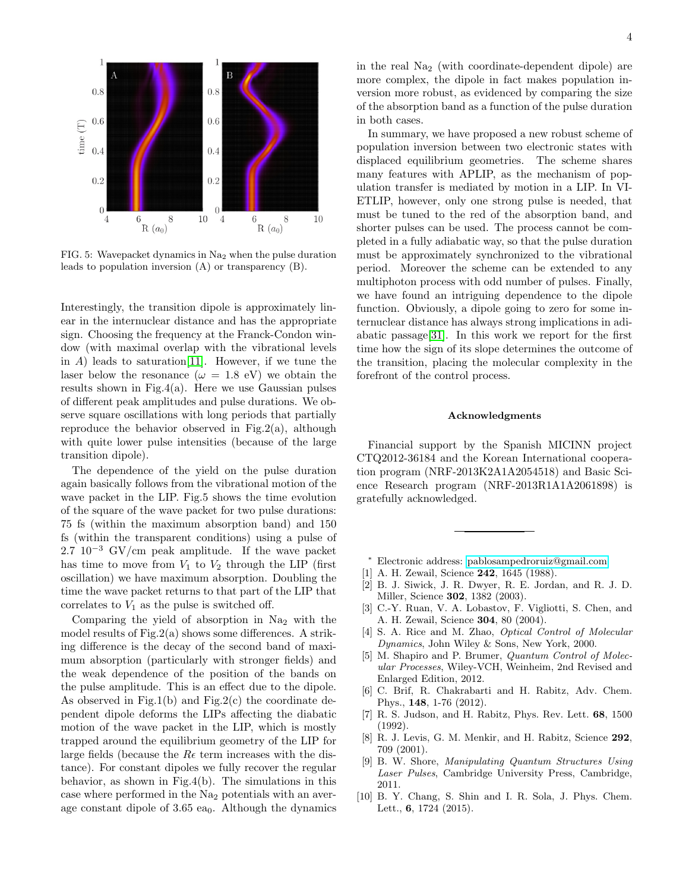

FIG. 5: Wavepacket dynamics in Na<sup>2</sup> when the pulse duration leads to population inversion (A) or transparency (B).

Interestingly, the transition dipole is approximately linear in the internuclear distance and has the appropriate sign. Choosing the frequency at the Franck-Condon window (with maximal overlap with the vibrational levels in  $A$ ) leads to saturation [\[11\]](#page-4-0). However, if we tune the laser below the resonance  $(\omega = 1.8 \text{ eV})$  we obtain the results shown in Fig.4(a). Here we use Gaussian pulses of different peak amplitudes and pulse durations. We observe square oscillations with long periods that partially reproduce the behavior observed in Fig.2(a), although with quite lower pulse intensities (because of the large transition dipole).

The dependence of the yield on the pulse duration again basically follows from the vibrational motion of the wave packet in the LIP. Fig.5 shows the time evolution of the square of the wave packet for two pulse durations: 75 fs (within the maximum absorption band) and 150 fs (within the transparent conditions) using a pulse of  $2.7 \, 10^{-3} \, \text{GV/cm}$  peak amplitude. If the wave packet has time to move from  $V_1$  to  $V_2$  through the LIP (first oscillation) we have maximum absorption. Doubling the time the wave packet returns to that part of the LIP that correlates to  $V_1$  as the pulse is switched off.

Comparing the yield of absorption in  $Na<sub>2</sub>$  with the model results of Fig.2(a) shows some differences. A striking difference is the decay of the second band of maximum absorption (particularly with stronger fields) and the weak dependence of the position of the bands on the pulse amplitude. This is an effect due to the dipole. As observed in Fig.1(b) and Fig.2(c) the coordinate dependent dipole deforms the LIPs affecting the diabatic motion of the wave packet in the LIP, which is mostly trapped around the equilibrium geometry of the LIP for large fields (because the  $R\epsilon$  term increases with the distance). For constant dipoles we fully recover the regular behavior, as shown in Fig.4(b). The simulations in this case where performed in the  $Na<sub>2</sub>$  potentials with an average constant dipole of  $3.65$  ea<sub>0</sub>. Although the dynamics in the real Na<sup>2</sup> (with coordinate-dependent dipole) are more complex, the dipole in fact makes population inversion more robust, as evidenced by comparing the size of the absorption band as a function of the pulse duration in both cases.

In summary, we have proposed a new robust scheme of population inversion between two electronic states with displaced equilibrium geometries. The scheme shares many features with APLIP, as the mechanism of population transfer is mediated by motion in a LIP. In VI-ETLIP, however, only one strong pulse is needed, that must be tuned to the red of the absorption band, and shorter pulses can be used. The process cannot be completed in a fully adiabatic way, so that the pulse duration must be approximately synchronized to the vibrational period. Moreover the scheme can be extended to any multiphoton process with odd number of pulses. Finally, we have found an intriguing dependence to the dipole function. Obviously, a dipole going to zero for some internuclear distance has always strong implications in adiabatic passage[\[31\]](#page-4-16). In this work we report for the first time how the sign of its slope determines the outcome of the transition, placing the molecular complexity in the forefront of the control process.

## Acknowledgments

Financial support by the Spanish MICINN project CTQ2012-36184 and the Korean International cooperation program (NRF-2013K2A1A2054518) and Basic Science Research program (NRF-2013R1A1A2061898) is gratefully acknowledged.

- <span id="page-3-0"></span><sup>∗</sup> Electronic address: [pablosampedroruiz@gmail.com](mailto:pablosampedroruiz@gmail.com)
- <span id="page-3-1"></span>[1] A. H. Zewail, Science 242, 1645 (1988).
- <span id="page-3-2"></span>[2] B. J. Siwick, J. R. Dwyer, R. E. Jordan, and R. J. D. Miller, Science 302, 1382 (2003).
- <span id="page-3-3"></span>[3] C.-Y. Ruan, V. A. Lobastov, F. Vigliotti, S. Chen, and A. H. Zewail, Science 304, 80 (2004).
- <span id="page-3-4"></span>[4] S. A. Rice and M. Zhao, *Optical Control of Molecular* Dynamics, John Wiley & Sons, New York, 2000.
- [5] M. Shapiro and P. Brumer, Quantum Control of Molecular Processes, Wiley-VCH, Weinheim, 2nd Revised and Enlarged Edition, 2012.
- <span id="page-3-5"></span>[6] C. Brif, R. Chakrabarti and H. Rabitz, Adv. Chem. Phys., 148, 1-76 (2012).
- <span id="page-3-6"></span>[7] R. S. Judson, and H. Rabitz, Phys. Rev. Lett. 68, 1500 (1992).
- <span id="page-3-7"></span>[8] R. J. Levis, G. M. Menkir, and H. Rabitz, Science 292, 709 (2001).
- <span id="page-3-8"></span>[9] B. W. Shore, Manipulating Quantum Structures Using Laser Pulses, Cambridge University Press, Cambridge, 2011.
- <span id="page-3-9"></span>[10] B. Y. Chang, S. Shin and I. R. Sola, J. Phys. Chem. Lett., 6, 1724 (2015).